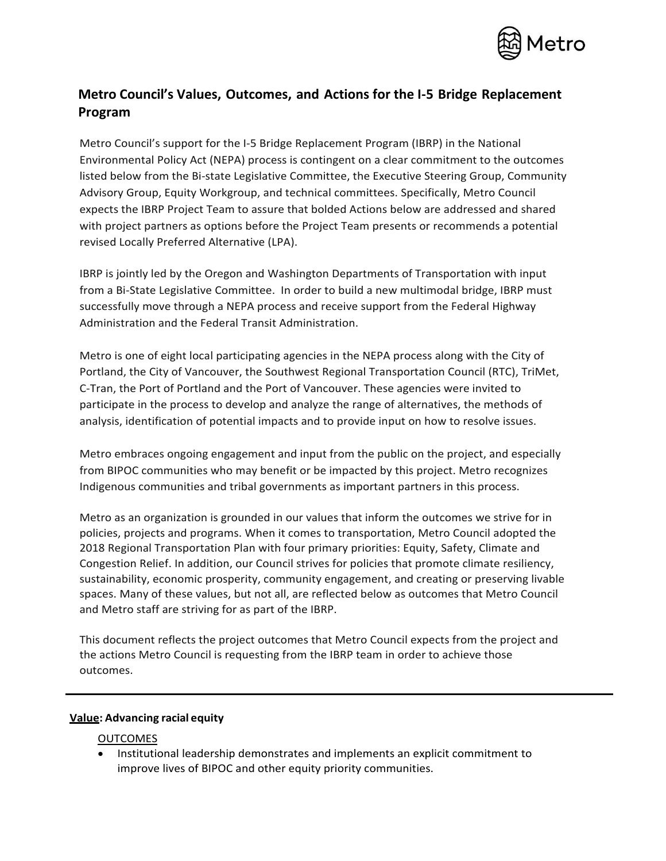

# **Metro Council's Values, Outcomes, and Actions for the I-5 Bridge Replacement Program**

Metro Council's support for the I-5 Bridge Replacement Program (IBRP) in the National Environmental Policy Act (NEPA) process is contingent on a clear commitment to the outcomes listed below from the Bi-state Legislative Committee, the Executive Steering Group, Community Advisory Group, Equity Workgroup, and technical committees. Specifically, Metro Council expects the IBRP Project Team to assure that bolded Actions below are addressed and shared with project partners as options before the Project Team presents or recommends a potential revised Locally Preferred Alternative (LPA).

IBRP is jointly led by the Oregon and Washington Departments of Transportation with input from a Bi-State Legislative Committee. In order to build a new multimodal bridge, IBRP must successfully move through a NEPA process and receive support from the Federal Highway Administration and the Federal Transit Administration.

Metro is one of eight local participating agencies in the NEPA process along with the City of Portland, the City of Vancouver, the Southwest Regional Transportation Council (RTC), TriMet, C-Tran, the Port of Portland and the Port of Vancouver. These agencies were invited to participate in the process to develop and analyze the range of alternatives, the methods of analysis, identification of potential impacts and to provide input on how to resolve issues.

Metro embraces ongoing engagement and input from the public on the project, and especially from BIPOC communities who may benefit or be impacted by this project. Metro recognizes Indigenous communities and tribal governments as important partners in this process.

Metro as an organization is grounded in our values that inform the outcomes we strive for in policies, projects and programs. When it comes to transportation, Metro Council adopted the 2018 Regional Transportation Plan with four primary priorities: Equity, Safety, Climate and Congestion Relief. In addition, our Council strives for policies that promote climate resiliency, sustainability, economic prosperity, community engagement, and creating or preserving livable spaces. Many of these values, but not all, are reflected below as outcomes that Metro Council and Metro staff are striving for as part of the IBRP.

This document reflects the project outcomes that Metro Council expects from the project and the actions Metro Council is requesting from the IBRP team in order to achieve those outcomes.

#### **Value: Advancing racial equity**

#### OUTCOMES

• Institutional leadership demonstrates and implements an explicit commitment to improve lives of BIPOC and other equity priority communities.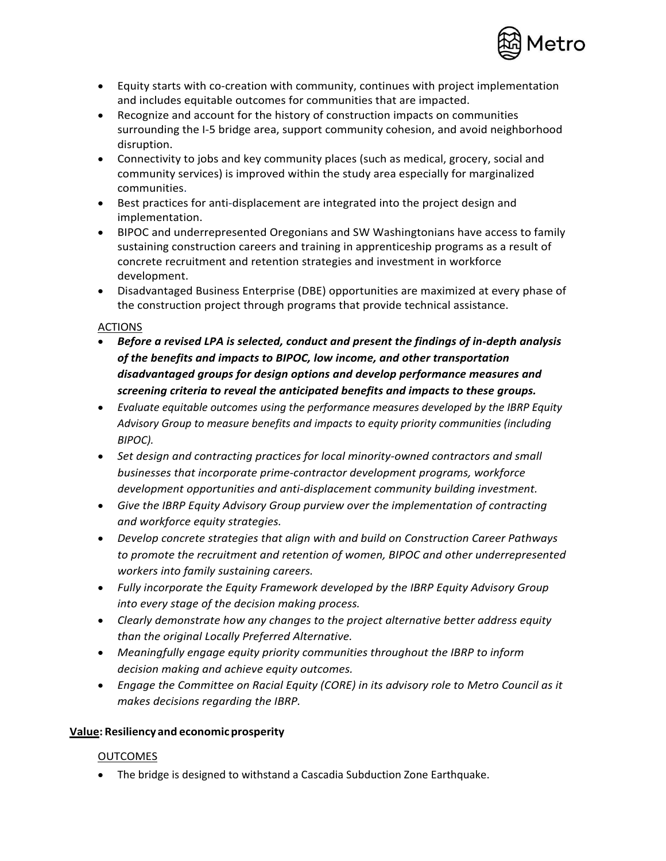

- Equity starts with co-creation with community, continues with project implementation and includes equitable outcomes for communities that are impacted.
- Recognize and account for the history of construction impacts on communities surrounding the I-5 bridge area, support community cohesion, and avoid neighborhood disruption.
- Connectivity to jobs and key community places (such as medical, grocery, social and community services) is improved within the study area especially for marginalized communities.
- Best practices for anti-displacement are integrated into the project design and implementation.
- BIPOC and underrepresented Oregonians and SW Washingtonians have access to family sustaining construction careers and training in apprenticeship programs as a result of concrete recruitment and retention strategies and investment in workforce development.
- Disadvantaged Business Enterprise (DBE) opportunities are maximized at every phase of the construction project through programs that provide technical assistance.

# **ACTIONS**

- *Before a revised LPA is selected, conduct and present the findings of in-depth analysis of the benefits and impacts to BIPOC, low income, and other transportation disadvantaged groups for design options and develop performance measures and screening criteria to reveal the anticipated benefits and impacts to these groups.*
- *Evaluate equitable outcomes using the performance measures developed by the IBRP Equity Advisory Group to measure benefits and impacts to equity priority communities (including BIPOC).*
- *Set design and contracting practices for local minority-owned contractors and small businesses that incorporate prime-contractor development programs, workforce development opportunities and anti-displacement community building investment.*
- *Give the IBRP Equity Advisory Group purview over the implementation of contracting and workforce equity strategies.*
- *Develop concrete strategies that align with and build on Construction Career Pathways to promote the recruitment and retention of women, BIPOC and other underrepresented workers into family sustaining careers.*
- *Fully incorporate the Equity Framework developed by the IBRP Equity Advisory Group into every stage of the decision making process.*
- *Clearly demonstrate how any changes to the project alternative better address equity than the original Locally Preferred Alternative.*
- *Meaningfully engage equity priority communities throughout the IBRP to inform decision making and achieve equity outcomes.*
- *Engage the Committee on Racial Equity (CORE) in its advisory role to Metro Council as it makes decisions regarding the IBRP.*

# **Value: Resiliency and economicprosperity**

# OUTCOMES

• The bridge is designed to withstand a Cascadia Subduction Zone Earthquake.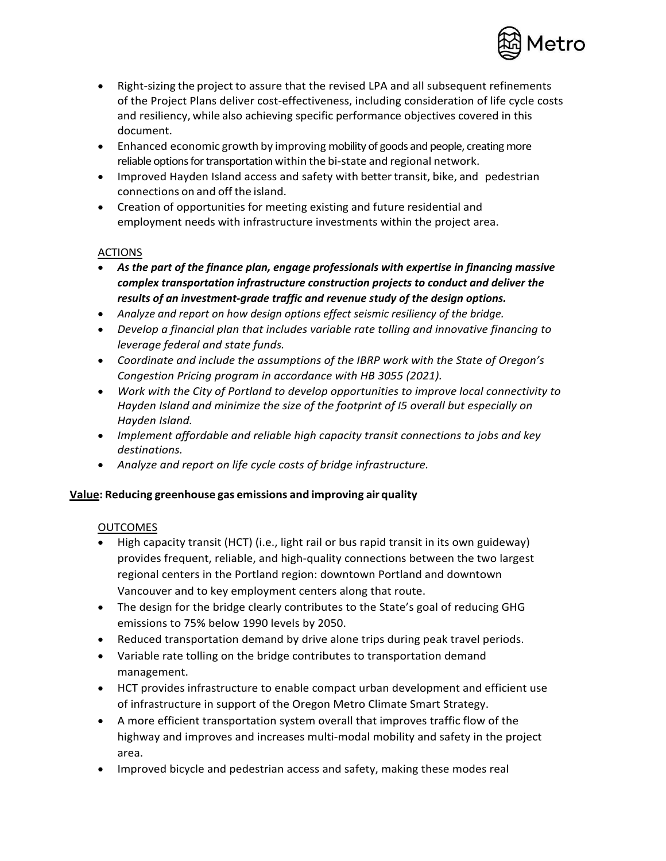

- Right-sizing the project to assure that the revised LPA and all subsequent refinements of the Project Plans deliver cost-effectiveness, including consideration of life cycle costs and resiliency, while also achieving specific performance objectives covered in this document.
- Enhanced economic growth by improving mobility of goods and people, creating more reliable options for transportation within the bi-state and regional network.
- Improved Hayden Island access and safety with better transit, bike, and pedestrian connections on and off the island.
- Creation of opportunities for meeting existing and future residential and employment needs with infrastructure investments within the project area.

## ACTIONS

- *As the part of the finance plan, engage professionals with expertise in financing massive complex transportation infrastructure construction projects to conduct and deliver the results of an investment-grade traffic and revenue study of the design options.*
- *Analyze and report on how design options effect seismic resiliency of the bridge.*
- *Develop a financial plan that includes variable rate tolling and innovative financing to leverage federal and state funds.*
- *Coordinate and include the assumptions of the IBRP work with the State of Oregon's Congestion Pricing program in accordance with HB 3055 (2021).*
- *Work with the City of Portland to develop opportunities to improve local connectivity to Hayden Island and minimize the size of the footprint of I5 overall but especially on Hayden Island.*
- *Implement affordable and reliable high capacity transit connections to jobs and key destinations.*
- *Analyze and report on life cycle costs of bridge infrastructure.*

# **Value: Reducing greenhouse gas emissions and improving air quality**

#### **OUTCOMES**

- High capacity transit (HCT) (i.e., light rail or bus rapid transit in its own guideway) provides frequent, reliable, and high-quality connections between the two largest regional centers in the Portland region: downtown Portland and downtown Vancouver and to key employment centers along that route.
- The design for the bridge clearly contributes to the State's goal of reducing GHG emissions to 75% below 1990 levels by 2050.
- Reduced transportation demand by drive alone trips during peak travel periods.
- Variable rate tolling on the bridge contributes to transportation demand management.
- HCT provides infrastructure to enable compact urban development and efficient use of infrastructure in support of the Oregon Metro Climate Smart Strategy.
- A more efficient transportation system overall that improves traffic flow of the highway and improves and increases multi-modal mobility and safety in the project area.
- Improved bicycle and pedestrian access and safety, making these modes real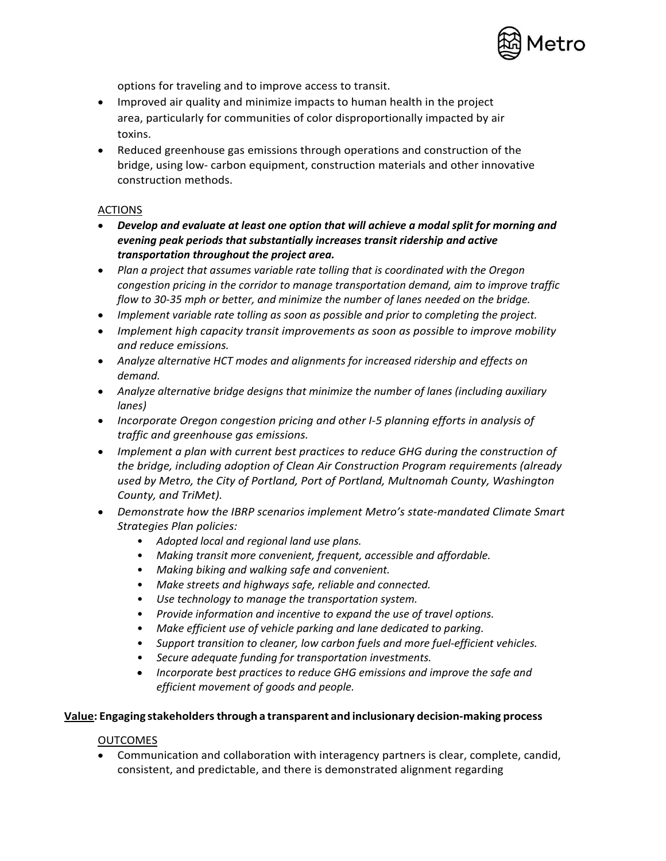

options for traveling and to improve access to transit.

- Improved air quality and minimize impacts to human health in the project area, particularly for communities of color disproportionally impacted by air toxins.
- Reduced greenhouse gas emissions through operations and construction of the bridge, using low- carbon equipment, construction materials and other innovative construction methods.

## ACTIONS

- *Develop and evaluate at least one option that will achieve a modal split for morning and evening peak periods that substantially increases transit ridership and active transportation throughout the project area.*
- *Plan a project that assumes variable rate tolling that is coordinated with the Oregon congestion pricing in the corridor to manage transportation demand, aim to improve traffic flow to 30-35 mph or better, and minimize the number of lanes needed on the bridge.*
- *Implement variable rate tolling as soon as possible and prior to completing the project.*
- *Implement high capacity transit improvements as soon as possible to improve mobility and reduce emissions.*
- *Analyze alternative HCT modes and alignments for increased ridership and effects on demand.*
- *Analyze alternative bridge designs that minimize the number of lanes (including auxiliary lanes)*
- *Incorporate Oregon congestion pricing and other I-5 planning efforts in analysis of traffic and greenhouse gas emissions.*
- *Implement a plan with current best practices to reduce GHG during the construction of the bridge, including adoption of Clean Air Construction Program requirements (already used by Metro, the City of Portland, Port of Portland, Multnomah County, Washington County, and TriMet).*
- *Demonstrate how the IBRP scenarios implement Metro's state-mandated Climate Smart Strategies Plan policies:* 
	- *Adopted local and regional land use plans.*
	- *Making transit more convenient, frequent, accessible and affordable.*
	- *Making biking and walking safe and convenient.*
	- *Make streets and highways safe, reliable and connected.*
	- *Use technology to manage the transportation system.*
	- *Provide information and incentive to expand the use of travel options.*
	- *Make efficient use of vehicle parking and lane dedicated to parking.*
	- *Support transition to cleaner, low carbon fuels and more fuel-efficient vehicles.*
	- *Secure adequate funding for transportation investments.*
	- *Incorporate best practices to reduce GHG emissions and improve the safe and efficient movement of goods and people.*

#### **Value: Engaging stakeholdersthrough a transparent and inclusionary decision-making process**

#### **OUTCOMES**

• Communication and collaboration with interagency partners is clear, complete, candid, consistent, and predictable, and there is demonstrated alignment regarding